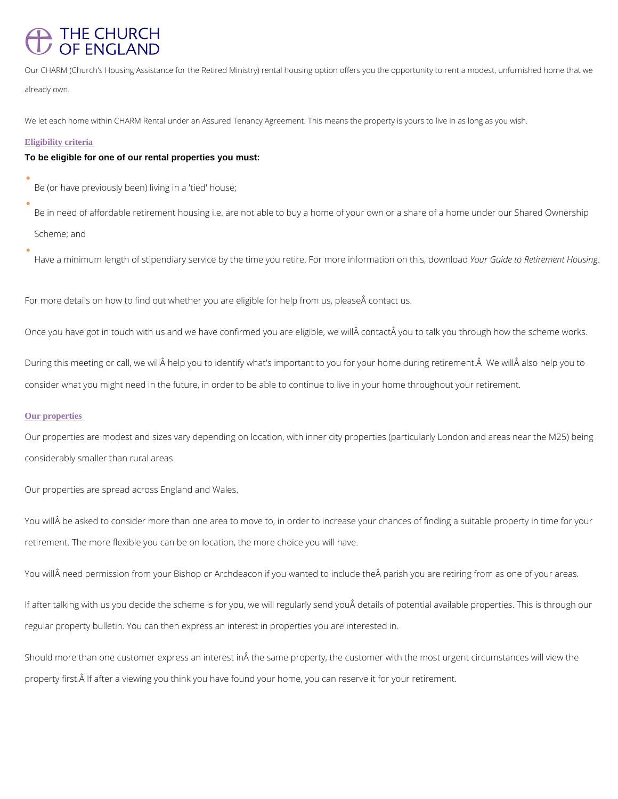# **THE CHURCH** OF ENGLAND

Our CHARM (Church's Housing Assistance for the Retired Ministry) rental housing option offers you the already own.

We let each home within CHARM Rental under an Assured Tenancy Agreement. This means the property i

#### Eligibility criteria

To be eligible for one of our rental properties you must:

Be (or have previously been) living in a 'tied' house;

Be in need of affordable retirement housing i.e. are not able to buy a home of your own or

Scheme; and

Have a minimum length of stipendiary service by the time you retire. YFo our noSounied eintfoon Reneation on e

For more details on how to find out whether you are eligible for help from us, pleaseÅ contac

Once you have got in touch with us and we have confirmed you are eligible, we will A contact

During this meeting or call, we will help you to identify what's important to you for your home consider what you might need in the future, in order to be able to continue to live in your ho

Our properties are modest and sizes vary depending on location, with inner city properties (particularly London and A considerably smaller than rural areas.

You will be asked to consider more than one area to move to, in order to increase your cha retirement. The more flexible you can be on location, the more choice you will have.

You will need permission from your Bishop or Archdeacon if you wanted to include the par

If after talking with us you decide the scheme is for you, we will regularly send you details

regular property bulletin. You can then express an interest in properties you are interested i

Should more than one customer express an interest in the same property, the customer with property flfsaffer a viewing you think you have found your home, you can reserve it for your

### Our properties

Our properties are spread across England and Wales.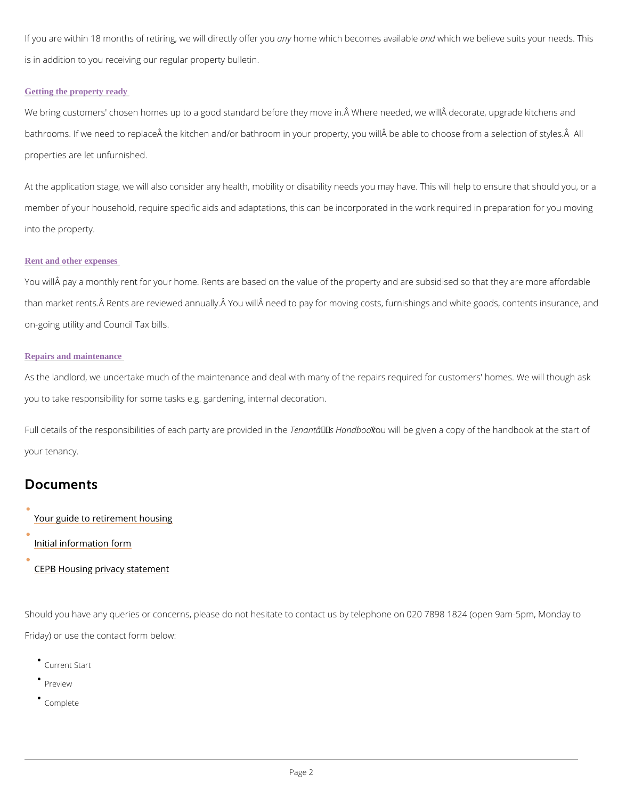If you are within 18 months of retiring, aw rey how in the locthy beefofer meyes need wahill callo luse believe suits your is in addition to you receiving our regular property bulletin.

### Getting the property ready

We bring customers' chosen homes up to a good standard before they move in. Where neede bathrooms. If we need to replace  $\hat{A}$  the kitchen and/or bathroom in your property, you will  $\hat{A}$  be properties are let unfurnished.

At the application stage, we will eaullsto, consider and y disability needs you may have. This will he member of your household, require specific aids and adaptations, this can be incorporated in into the property.

You will A pay a monthly rent for your home. Rents are based on the value of the property and than market rents. A Rents are reviewed annually. A You will A need to pay for moving costs, f on-going utility and Council Tax bills.

As the landlord, we undertake much of the maintenance and deal with many of the repairs red you to take responsibility for some tasks e.g. gardening, internal decoration.

Full details of the responsibilities of eachT parathyt  $\hat{a}$  of  $\hat{e}$  s.rbo $\hat{a}$  and  $\hat{b}$  and  $\hat{b}$  at the start of the handbook at the handbook at the start of the handbook at the start of the start of the sta your tenancy.

#### Rent and other expenses

#### Repairs and maintenance

# Documents

[Your guide to retireme](/media/25648)nt housing

- [Initial informat](/media/25893)ion form
- [CEPB Housing privac](/media/10666)y statement

Should you have any queries or concerns, please do not hesitate to contact us by telephone

Friday) or use the contact form below:

Curre Sttart

- Preview
- Complete